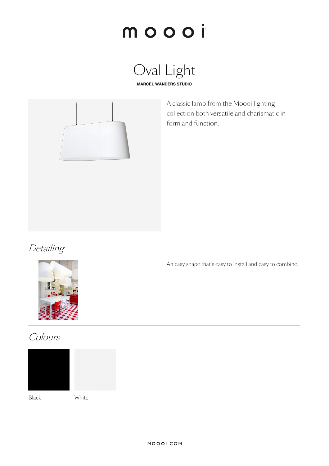





A classic lamp from the Moooi lighting collection both versatile and charismatic in form and function.

### Detailing



An easy shape that's easy to install and easy to combine.

### Colours



Black White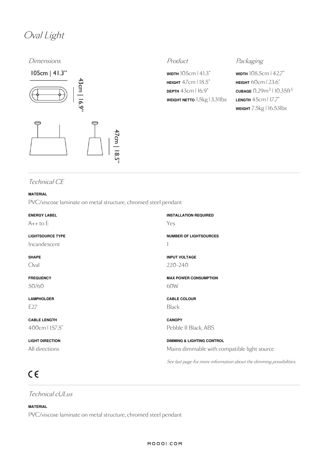### Oval Light

Dimensions **Product** Product **Product** Packaging



**WIDTH** 105cm | 41.3" **HEIGHT** 47cm |18.5" **DEPTH** 43cm | 16.9" **WEIGHT NETTO** 1.5kg | 3.31lbs

**WIDTH** 108.5cm | 42.7" **HEIGHT** 60cm | 23.6"  $\frac{\text{CUBAGE}}{0.29}$ m $\frac{3}{10.35}$ ft $\frac{3}{3}$ **LENGTH** 45cm | 17.7" **WEIGHT** 7.5kg | 16.53lbs

### Technical CE

### **MATERIAL**

PVC/viscose laminate on metal structure, chromed steel pendant

| <b>ENERGY LABEL</b><br>$A++$ to $E$ | <b>INSTALLATION REQUIRED</b><br>Yes                                 |
|-------------------------------------|---------------------------------------------------------------------|
| <b>LIGHTSOURCE TYPE</b>             | <b>NUMBER OF LIGHTSOURCES</b>                                       |
| Incandescent                        |                                                                     |
| <b>SHAPE</b>                        | <b>INPUT VOLTAGE</b>                                                |
| Oval                                | 220-240                                                             |
| <b>FREQUENCY</b>                    | <b>MAX POWER CONSUMPTION</b>                                        |
| 50/60                               | 60W                                                                 |
| <b>LAMPHOLDER</b>                   | <b>CABLE COLOUR</b>                                                 |
| E27                                 | <b>Black</b>                                                        |
| <b>CABLE LENGTH</b>                 | <b>CANOPY</b>                                                       |
| 400cm   157.5"                      | Pebble II Black, ABS                                                |
| <b>LIGHT DIRECTION</b>              | <b>DIMMING &amp; LIGHTING CONTROL</b>                               |
| All directions                      | Mains dimmable with compatible light source                         |
|                                     | See last page for more information about the dimming possibilities. |

## $C \in$

Technical cULus

### **MATERIAL**

PVC/viscose laminate on metal structure, chromed steel pendant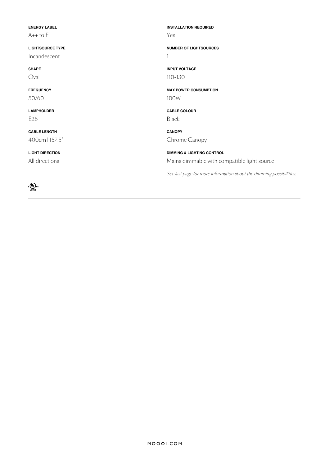| <b>ENERGY LABEL</b>     | <b>INSTALLATION REQUIRED</b>                                        |
|-------------------------|---------------------------------------------------------------------|
| $A++$ to $E$            | Yes                                                                 |
| <b>LIGHTSOURCE TYPE</b> | <b>NUMBER OF LIGHTSOURCES</b>                                       |
| Incandescent            |                                                                     |
| <b>SHAPE</b>            | <b>INPUT VOLTAGE</b>                                                |
| Oval                    | $110 - 130$                                                         |
| <b>FREQUENCY</b>        | <b>MAX POWER CONSUMPTION</b>                                        |
| 50/60                   | 100W                                                                |
| <b>LAMPHOLDER</b>       | <b>CABLE COLOUR</b>                                                 |
| E <sub>26</sub>         | <b>Black</b>                                                        |
| <b>CABLE LENGTH</b>     | <b>CANOPY</b>                                                       |
| 400cm   157.5"          | Chrome Canopy                                                       |
| <b>LIGHT DIRECTION</b>  | <b>DIMMING &amp; LIGHTING CONTROL</b>                               |
| All directions          | Mains dimmable with compatible light source                         |
|                         | See last page for more information about the dimming possibilities. |
| ึั⊕<br>LISTED           |                                                                     |